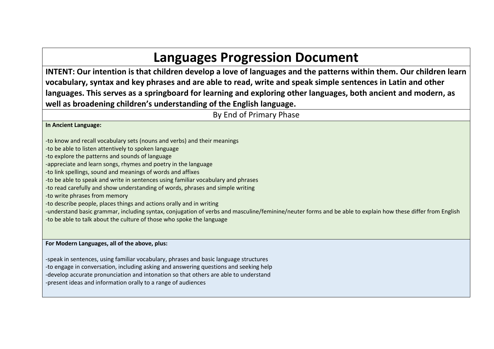## **Languages Progression Document**

**INTENT: Our intention is that children develop a love of languages and the patterns within them. Our children learn vocabulary, syntax and key phrases and are able to read, write and speak simple sentences in Latin and other languages. This serves as a springboard for learning and exploring other languages, both ancient and modern, as well as broadening children's understanding of the English language.**

By End of Primary Phase

**In Ancient Language:**

-to know and recall vocabulary sets (nouns and verbs) and their meanings

-to be able to listen attentively to spoken language

-to explore the patterns and sounds of language

-appreciate and learn songs, rhymes and poetry in the language

-to link spellings, sound and meanings of words and affixes

-to be able to speak and write in sentences using familiar vocabulary and phrases

-to read carefully and show understanding of words, phrases and simple writing

-to write phrases from memory

-to describe people, places things and actions orally and in writing

-understand basic grammar, including syntax, conjugation of verbs and masculine/feminine/neuter forms and be able to explain how these differ from English

-to be able to talk about the culture of those who spoke the language

## **For Modern Languages, all of the above, plus:**

-speak in sentences, using familiar vocabulary, phrases and basic language structures -to engage in conversation, including asking and answering questions and seeking help -develop accurate pronunciation and intonation so that others are able to understand -present ideas and information orally to a range of audiences